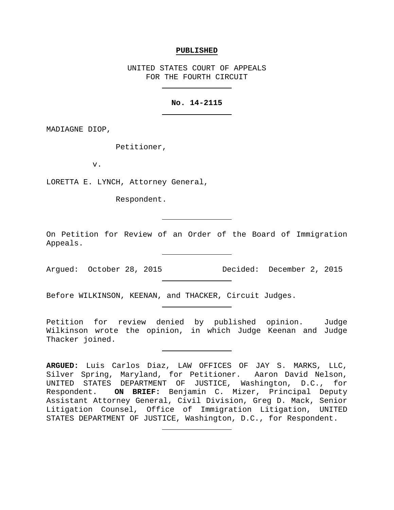#### **PUBLISHED**

UNITED STATES COURT OF APPEALS FOR THE FOURTH CIRCUIT

## **No. 14-2115**

MADIAGNE DIOP,

Petitioner,

v.

LORETTA E. LYNCH, Attorney General,

Respondent.

On Petition for Review of an Order of the Board of Immigration Appeals.

Argued: October 28, 2015 Decided: December 2, 2015

Before WILKINSON, KEENAN, and THACKER, Circuit Judges.

Petition for review denied by published opinion. Judge Wilkinson wrote the opinion, in which Judge Keenan and Judge Thacker joined.

**ARGUED:** Luis Carlos Diaz, LAW OFFICES OF JAY S. MARKS, LLC, Silver Spring, Maryland, for Petitioner. Aaron David Nelson, UNITED STATES DEPARTMENT OF JUSTICE, Washington, D.C., for Respondent. **ON BRIEF:** Benjamin C. Mizer, Principal Deputy Assistant Attorney General, Civil Division, Greg D. Mack, Senior Litigation Counsel, Office of Immigration Litigation, UNITED STATES DEPARTMENT OF JUSTICE, Washington, D.C., for Respondent.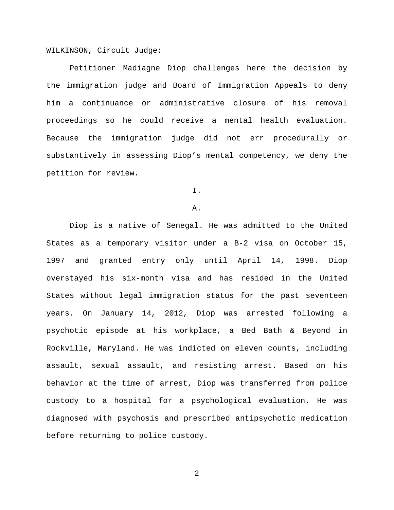WILKINSON, Circuit Judge:

Petitioner Madiagne Diop challenges here the decision by the immigration judge and Board of Immigration Appeals to deny him a continuance or administrative closure of his removal proceedings so he could receive a mental health evaluation. Because the immigration judge did not err procedurally or substantively in assessing Diop's mental competency, we deny the petition for review.

I.

#### A.

Diop is a native of Senegal. He was admitted to the United States as a temporary visitor under a B-2 visa on October 15, 1997 and granted entry only until April 14, 1998. Diop overstayed his six-month visa and has resided in the United States without legal immigration status for the past seventeen years. On January 14, 2012, Diop was arrested following a psychotic episode at his workplace, a Bed Bath & Beyond in Rockville, Maryland. He was indicted on eleven counts, including assault, sexual assault, and resisting arrest. Based on his behavior at the time of arrest, Diop was transferred from police custody to a hospital for a psychological evaluation. He was diagnosed with psychosis and prescribed antipsychotic medication before returning to police custody.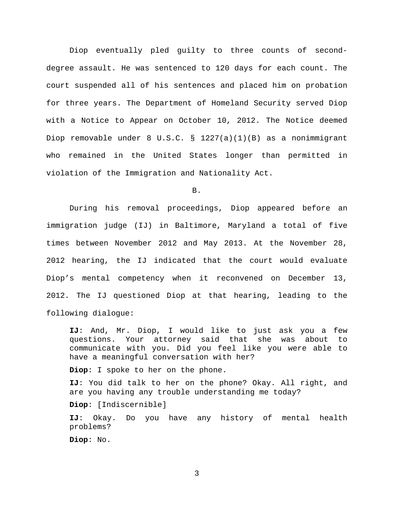Diop eventually pled guilty to three counts of seconddegree assault. He was sentenced to 120 days for each count. The court suspended all of his sentences and placed him on probation for three years. The Department of Homeland Security served Diop with a Notice to Appear on October 10, 2012. The Notice deemed Diop removable under 8 U.S.C. § 1227(a)(1)(B) as a nonimmigrant who remained in the United States longer than permitted in violation of the Immigration and Nationality Act.

B.

During his removal proceedings, Diop appeared before an immigration judge (IJ) in Baltimore, Maryland a total of five times between November 2012 and May 2013. At the November 28, 2012 hearing, the IJ indicated that the court would evaluate Diop's mental competency when it reconvened on December 13, 2012. The IJ questioned Diop at that hearing, leading to the following dialogue:

**IJ**: And, Mr. Diop, I would like to just ask you a few questions. Your attorney said that she was about to communicate with you. Did you feel like you were able to have a meaningful conversation with her?

**Diop**: I spoke to her on the phone.

**IJ**: You did talk to her on the phone? Okay. All right, and are you having any trouble understanding me today?

**Diop**: [Indiscernible]

**IJ**: Okay. Do you have any history of mental health problems?

**Diop**: No.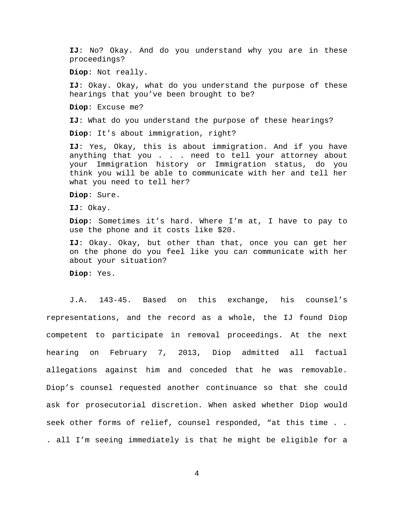**IJ**: No? Okay. And do you understand why you are in these proceedings?

**Diop**: Not really.

**IJ**: Okay. Okay, what do you understand the purpose of these hearings that you've been brought to be?

**Diop**: Excuse me?

**IJ**: What do you understand the purpose of these hearings?

**Diop**: It's about immigration, right?

**IJ**: Yes, Okay, this is about immigration. And if you have anything that you . . . need to tell your attorney about your Immigration history or Immigration status, do you think you will be able to communicate with her and tell her what you need to tell her?

**Diop**: Sure.

**IJ**: Okay.

**Diop**: Sometimes it's hard. Where I'm at, I have to pay to use the phone and it costs like \$20.

**IJ**: Okay. Okay, but other than that, once you can get her on the phone do you feel like you can communicate with her about your situation?

**Diop**: Yes.

J.A. 143-45. Based on this exchange, his counsel's representations, and the record as a whole, the IJ found Diop competent to participate in removal proceedings. At the next hearing on February 7, 2013, Diop admitted all factual allegations against him and conceded that he was removable. Diop's counsel requested another continuance so that she could ask for prosecutorial discretion. When asked whether Diop would seek other forms of relief, counsel responded, "at this time . . . all I'm seeing immediately is that he might be eligible for a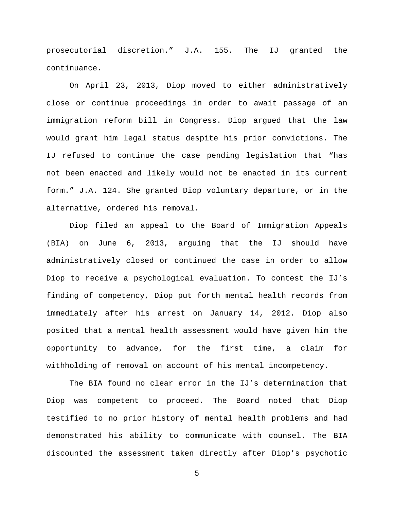prosecutorial discretion." J.A. 155. The IJ granted the continuance.

On April 23, 2013, Diop moved to either administratively close or continue proceedings in order to await passage of an immigration reform bill in Congress. Diop argued that the law would grant him legal status despite his prior convictions. The IJ refused to continue the case pending legislation that "has not been enacted and likely would not be enacted in its current form." J.A. 124. She granted Diop voluntary departure, or in the alternative, ordered his removal.

Diop filed an appeal to the Board of Immigration Appeals (BIA) on June 6, 2013, arguing that the IJ should have administratively closed or continued the case in order to allow Diop to receive a psychological evaluation. To contest the IJ's finding of competency, Diop put forth mental health records from immediately after his arrest on January 14, 2012. Diop also posited that a mental health assessment would have given him the opportunity to advance, for the first time, a claim for withholding of removal on account of his mental incompetency.

The BIA found no clear error in the IJ's determination that Diop was competent to proceed. The Board noted that Diop testified to no prior history of mental health problems and had demonstrated his ability to communicate with counsel. The BIA discounted the assessment taken directly after Diop's psychotic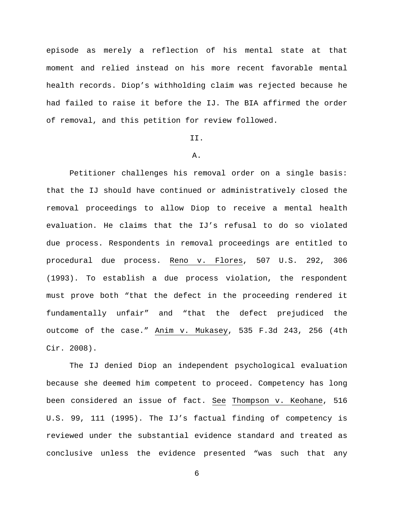episode as merely a reflection of his mental state at that moment and relied instead on his more recent favorable mental health records. Diop's withholding claim was rejected because he had failed to raise it before the IJ. The BIA affirmed the order of removal, and this petition for review followed.

## II.

# A.

Petitioner challenges his removal order on a single basis: that the IJ should have continued or administratively closed the removal proceedings to allow Diop to receive a mental health evaluation. He claims that the IJ's refusal to do so violated due process. Respondents in removal proceedings are entitled to procedural due process. Reno v. Flores, 507 U.S. 292, 306 (1993). To establish a due process violation, the respondent must prove both "that the defect in the proceeding rendered it fundamentally unfair" and "that the defect prejudiced the outcome of the case." Anim v. Mukasey, 535 F.3d 243, 256 (4th Cir. 2008).

The IJ denied Diop an independent psychological evaluation because she deemed him competent to proceed. Competency has long been considered an issue of fact. See Thompson v. Keohane, 516 U.S. 99, 111 (1995). The IJ's factual finding of competency is reviewed under the substantial evidence standard and treated as conclusive unless the evidence presented "was such that any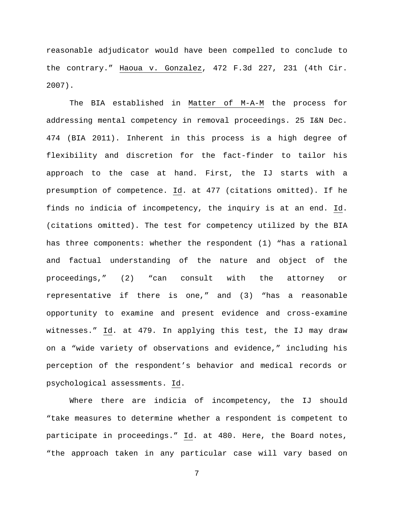reasonable adjudicator would have been compelled to conclude to the contrary." Haoua v. Gonzalez, 472 F.3d 227, 231 (4th Cir. 2007).

The BIA established in Matter of M-A-M the process for addressing mental competency in removal proceedings. 25 I&N Dec. 474 (BIA 2011). Inherent in this process is a high degree of flexibility and discretion for the fact-finder to tailor his approach to the case at hand. First, the IJ starts with a presumption of competence. Id. at 477 (citations omitted). If he finds no indicia of incompetency, the inquiry is at an end. Id. (citations omitted). The test for competency utilized by the BIA has three components: whether the respondent (1) "has a rational and factual understanding of the nature and object of the proceedings," (2) "can consult with the attorney or representative if there is one," and (3) "has a reasonable opportunity to examine and present evidence and cross-examine witnesses." Id. at 479. In applying this test, the IJ may draw on a "wide variety of observations and evidence," including his perception of the respondent's behavior and medical records or psychological assessments. Id.

Where there are indicia of incompetency, the IJ should "take measures to determine whether a respondent is competent to participate in proceedings." Id. at 480. Here, the Board notes, "the approach taken in any particular case will vary based on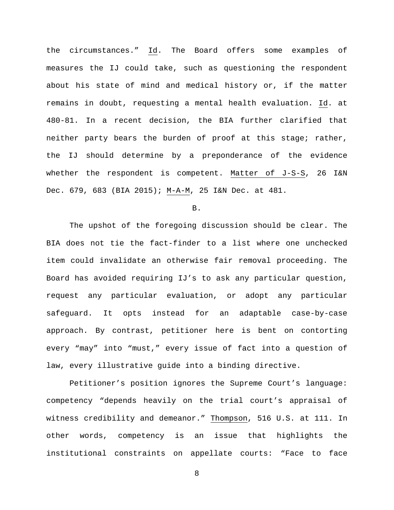the circumstances." Id. The Board offers some examples of measures the IJ could take, such as questioning the respondent about his state of mind and medical history or, if the matter remains in doubt, requesting a mental health evaluation. Id. at 480-81. In a recent decision, the BIA further clarified that neither party bears the burden of proof at this stage; rather, the IJ should determine by a preponderance of the evidence whether the respondent is competent. Matter of J-S-S, 26 I&N Dec. 679, 683 (BIA 2015); M-A-M, 25 I&N Dec. at 481.

B.

The upshot of the foregoing discussion should be clear. The BIA does not tie the fact-finder to a list where one unchecked item could invalidate an otherwise fair removal proceeding. The Board has avoided requiring IJ's to ask any particular question, request any particular evaluation, or adopt any particular safeguard. It opts instead for an adaptable case-by-case approach. By contrast, petitioner here is bent on contorting every "may" into "must," every issue of fact into a question of law, every illustrative guide into a binding directive.

Petitioner's position ignores the Supreme Court's language: competency "depends heavily on the trial court's appraisal of witness credibility and demeanor." Thompson, 516 U.S. at 111. In other words, competency is an issue that highlights the institutional constraints on appellate courts: "Face to face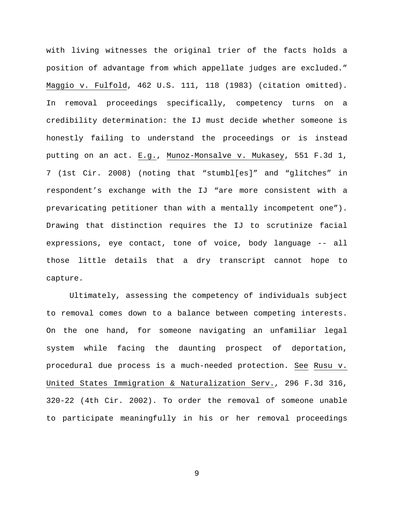with living witnesses the original trier of the facts holds a position of advantage from which appellate judges are excluded." Maggio v. Fulfold, 462 U.S. 111, 118 (1983) (citation omitted). In removal proceedings specifically, competency turns on a credibility determination: the IJ must decide whether someone is honestly failing to understand the proceedings or is instead putting on an act. E.g., Munoz-Monsalve v. Mukasey, 551 F.3d 1, 7 (1st Cir. 2008) (noting that "stumbl[es]" and "glitches" in respondent's exchange with the IJ "are more consistent with a prevaricating petitioner than with a mentally incompetent one"). Drawing that distinction requires the IJ to scrutinize facial expressions, eye contact, tone of voice, body language -- all those little details that a dry transcript cannot hope to capture.

Ultimately, assessing the competency of individuals subject to removal comes down to a balance between competing interests. On the one hand, for someone navigating an unfamiliar legal system while facing the daunting prospect of deportation, procedural due process is a much-needed protection. See Rusu v. United States Immigration & Naturalization Serv., 296 F.3d 316, 320-22 (4th Cir. 2002). To order the removal of someone unable to participate meaningfully in his or her removal proceedings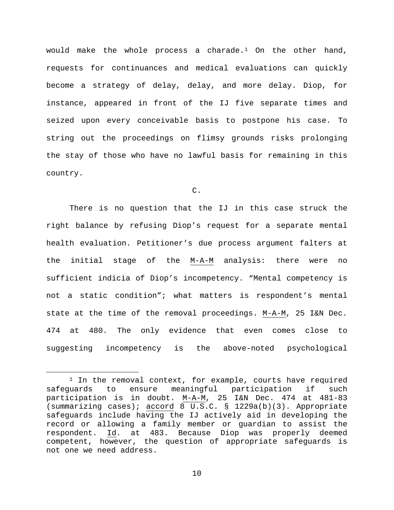would make the whole process a charade.[1](#page-9-0) On the other hand, requests for continuances and medical evaluations can quickly become a strategy of delay, delay, and more delay. Diop, for instance, appeared in front of the IJ five separate times and seized upon every conceivable basis to postpone his case. To string out the proceedings on flimsy grounds risks prolonging the stay of those who have no lawful basis for remaining in this country.

C.

There is no question that the IJ in this case struck the right balance by refusing Diop's request for a separate mental health evaluation. Petitioner's due process argument falters at the initial stage of the M-A-M analysis: there were no sufficient indicia of Diop's incompetency. "Mental competency is not a static condition"; what matters is respondent's mental state at the time of the removal proceedings. M-A-M, 25 I&N Dec. 474 at 480. The only evidence that even comes close to suggesting incompetency is the above-noted psychological

<span id="page-9-0"></span><sup>&</sup>lt;sup>1</sup> In the removal context, for example, courts have required<br>uards to ensure meaningful participation if such safeguards to ensure meaningful participation if such participation is in doubt. <u>M-A-M</u>, 25 I&N Dec. 474 at 481-83 (summarizing cases); accord 8 U.S.C. § 1229a(b)(3). Appropriate safeguards include having the IJ actively aid in developing the record or allowing a family member or guardian to assist the respondent. Id. at 483. Because Diop was properly deemed competent, however, the question of appropriate safeguards is not one we need address.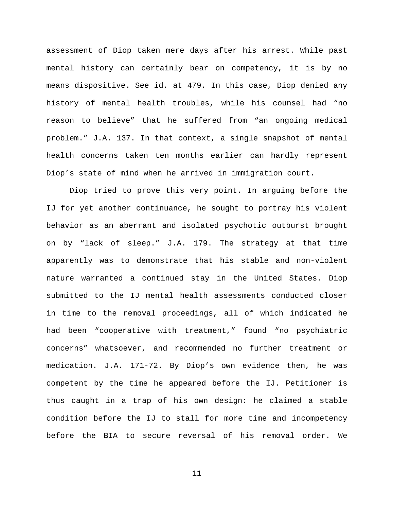assessment of Diop taken mere days after his arrest. While past mental history can certainly bear on competency, it is by no means dispositive. See id. at 479. In this case, Diop denied any history of mental health troubles, while his counsel had "no reason to believe" that he suffered from "an ongoing medical problem." J.A. 137. In that context, a single snapshot of mental health concerns taken ten months earlier can hardly represent Diop's state of mind when he arrived in immigration court.

Diop tried to prove this very point. In arguing before the IJ for yet another continuance, he sought to portray his violent behavior as an aberrant and isolated psychotic outburst brought on by "lack of sleep." J.A. 179. The strategy at that time apparently was to demonstrate that his stable and non-violent nature warranted a continued stay in the United States. Diop submitted to the IJ mental health assessments conducted closer in time to the removal proceedings, all of which indicated he had been "cooperative with treatment," found "no psychiatric concerns" whatsoever, and recommended no further treatment or medication. J.A. 171-72. By Diop's own evidence then, he was competent by the time he appeared before the IJ. Petitioner is thus caught in a trap of his own design: he claimed a stable condition before the IJ to stall for more time and incompetency before the BIA to secure reversal of his removal order. We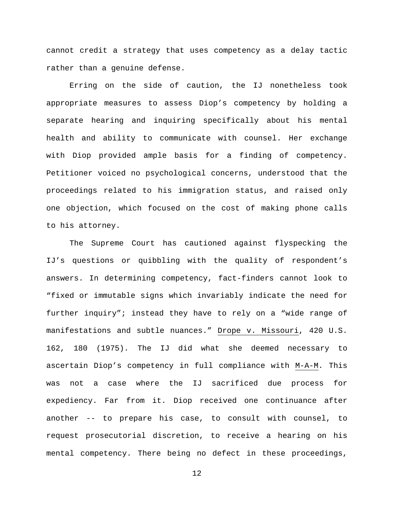cannot credit a strategy that uses competency as a delay tactic rather than a genuine defense.

Erring on the side of caution, the IJ nonetheless took appropriate measures to assess Diop's competency by holding a separate hearing and inquiring specifically about his mental health and ability to communicate with counsel. Her exchange with Diop provided ample basis for a finding of competency. Petitioner voiced no psychological concerns, understood that the proceedings related to his immigration status, and raised only one objection, which focused on the cost of making phone calls to his attorney.

The Supreme Court has cautioned against flyspecking the IJ's questions or quibbling with the quality of respondent's answers. In determining competency, fact-finders cannot look to "fixed or immutable signs which invariably indicate the need for further inquiry"; instead they have to rely on a "wide range of manifestations and subtle nuances." Drope v. Missouri, 420 U.S. 162, 180 (1975). The IJ did what she deemed necessary to ascertain Diop's competency in full compliance with M-A-M. This was not a case where the IJ sacrificed due process for expediency. Far from it. Diop received one continuance after another -- to prepare his case, to consult with counsel, to request prosecutorial discretion, to receive a hearing on his mental competency. There being no defect in these proceedings,